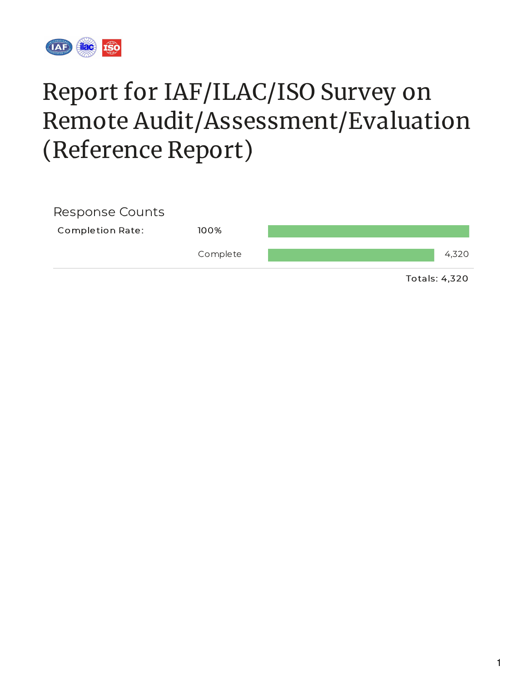

# Report for IAF/ILAC/ISO Survey on Remote Audit/Assessment/Evaluation (Reference Report)

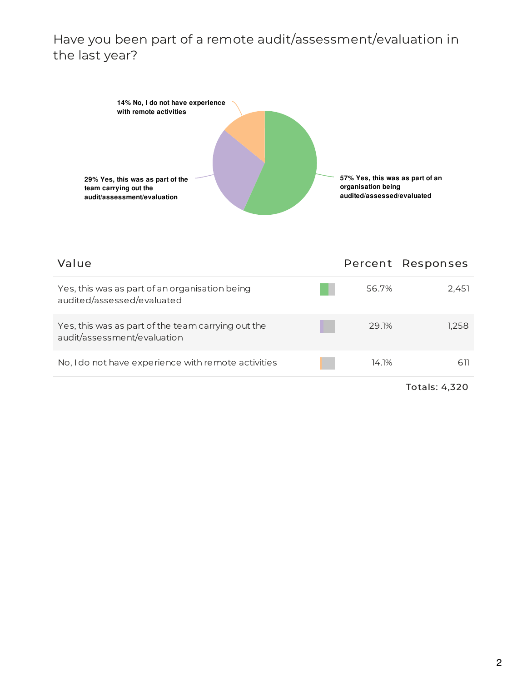#### Have you been part of a remote audit/assessment/evaluation in the last year?



| Value                                                                             |       | Percent Responses |
|-----------------------------------------------------------------------------------|-------|-------------------|
| Yes, this was as part of an organisation being<br>audited/assessed/evaluated      | 56.7% | 2,451             |
| Yes, this was as part of the team carrying out the<br>audit/assessment/evaluation | 29.1% | 1.258             |
| No, I do not have experience with remote activities                               | 14.1% | 611               |
|                                                                                   |       | Totals: 4,320     |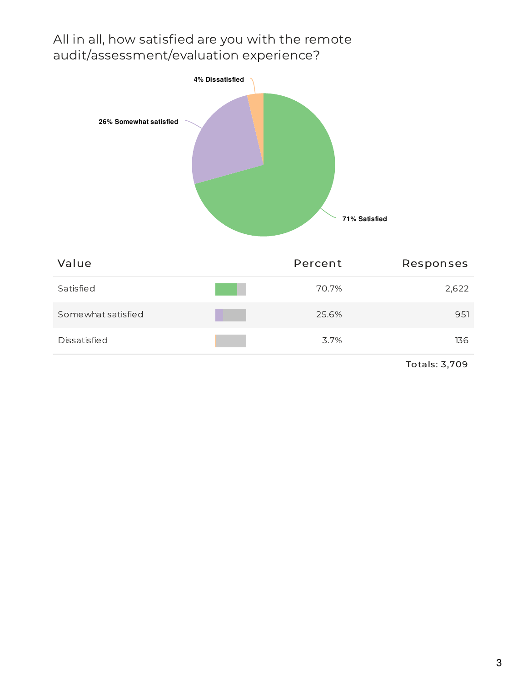## All in all, how satisfied are you with the remote audit/assessment/evaluation experience?



| Value              | Percent | Responses |
|--------------------|---------|-----------|
| Satisfied          | 70.7%   | 2,622     |
| Somewhat satisfied | 25.6%   | 951       |
| Dissatisfied       | 3.7%    | 136       |

Totals: 3,709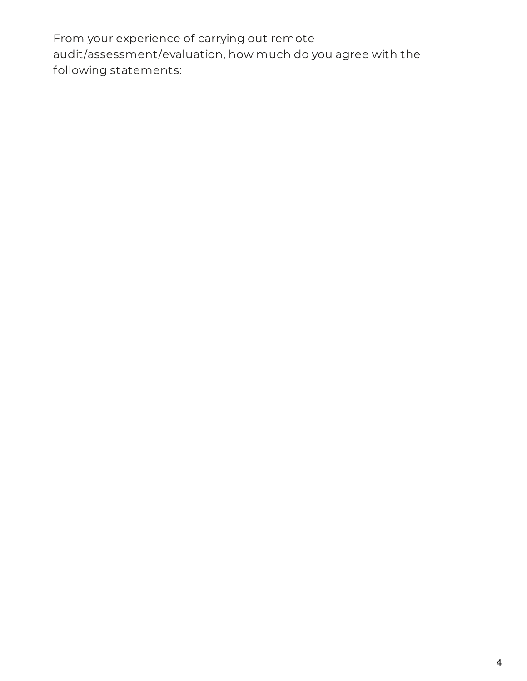From your experience of carrying out remote audit/assessment/evaluation, how much do you agree with the following statements: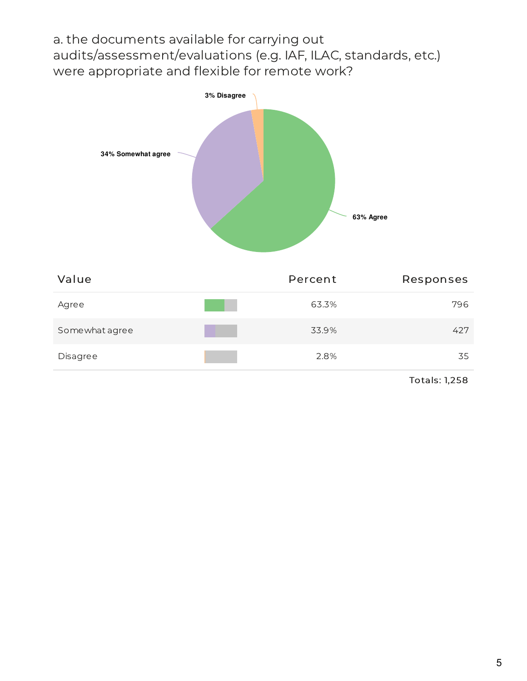a. the documents available for carrying out audits/assessment/evaluations (e.g. IAF, ILAC, standards, etc.) were appropriate and flexible for remote work?



| Value          | Percent | Responses |
|----------------|---------|-----------|
| Agree          | 63.3%   | 796       |
| Somewhat agree | 33.9%   | 427       |
| Disagree       | 2.8%    | 35        |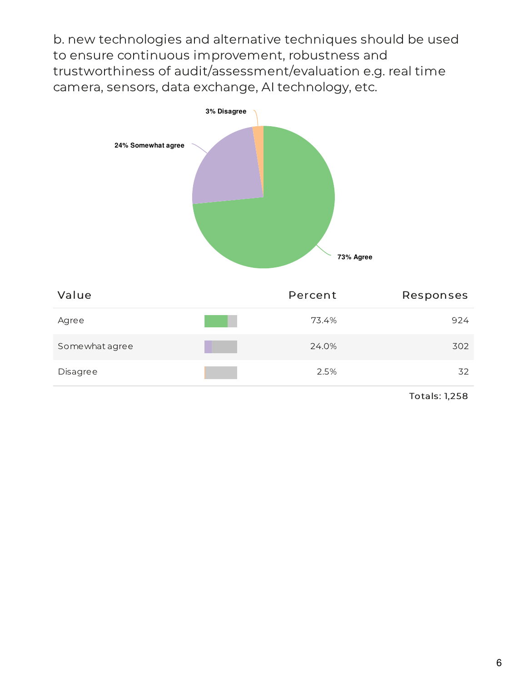b. new technologies and alternative techniques should be used to ensure continuous improvement, robustness and trustworthiness of audit/assessment/evaluation e.g. real time camera, sensors, data exchange, AI technology, etc.

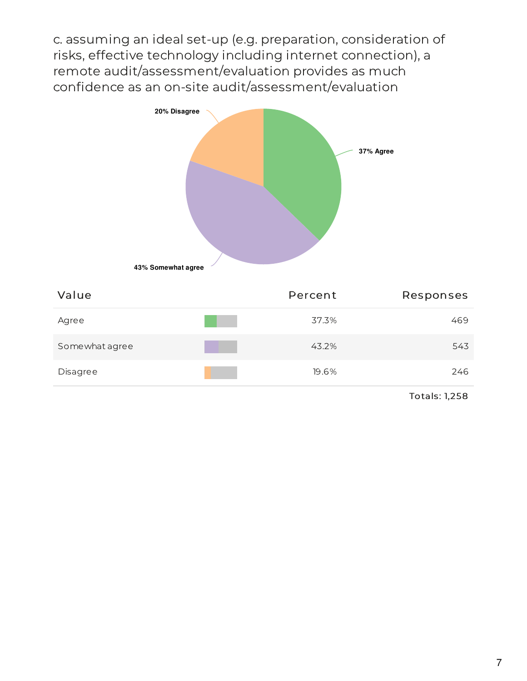c. assuming an ideal set-up (e.g. preparation, consideration of risks, effective technology including internet connection), a remote audit/assessment/evaluation provides as much confidence as an on-site audit/assessment/evaluation



| Value          | Percent | Responses |
|----------------|---------|-----------|
| Agree          | 37.3%   | 469       |
| Somewhat agree | 43.2%   | 543       |
| Disagree       | 19.6%   | 246       |
|                |         |           |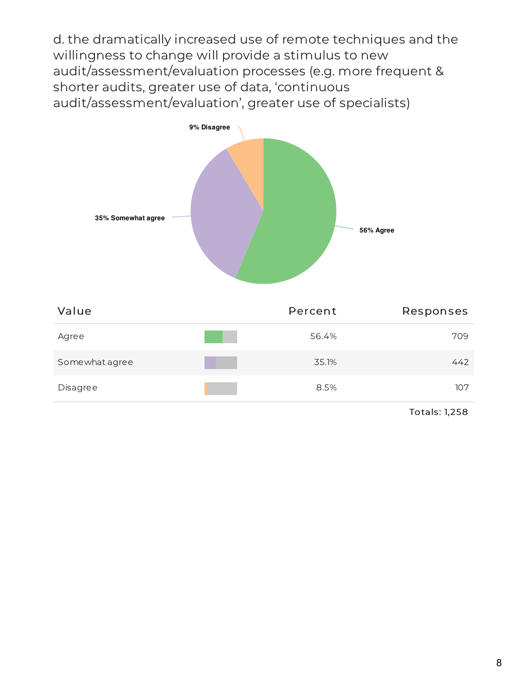d. the dramatically increased use of remote techniques and the willingness to change will provide a stimulus to new audit/assessment/evaluation processes (e.g. more frequent & shorter audits, greater use of data, 'continuous audit/assessment/evaluation', greater use of specialists)



| Value          | Percent | Responses |
|----------------|---------|-----------|
| Agree          | 56.4%   | 709       |
| Somewhat agree | 35.1%   | 442       |
| Disagree       | 8.5%    | 107       |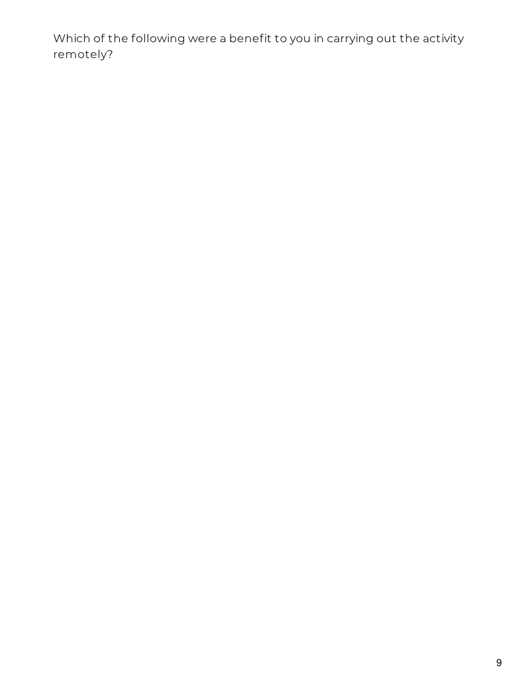Which of the following were a benefit to you in carrying out the activity remotely?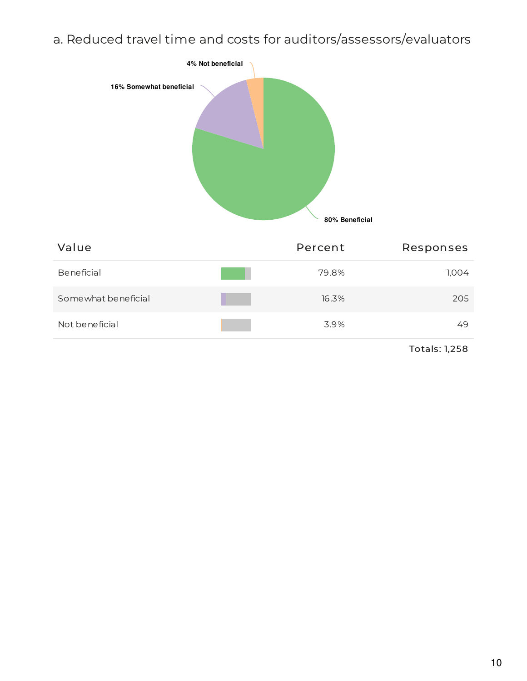# a. Reduced travel time and costs for auditors/assessors/evaluators

| 4% Not beneficial<br>16% Somewhat beneficial | 80% Beneficial |           |
|----------------------------------------------|----------------|-----------|
| Value                                        | Percent        | Responses |
| Beneficial                                   | 79.8%          | 1,004     |
| Somewhat beneficial                          | 16.3%          | 205       |
| Not beneficial                               | 3.9%           | 49        |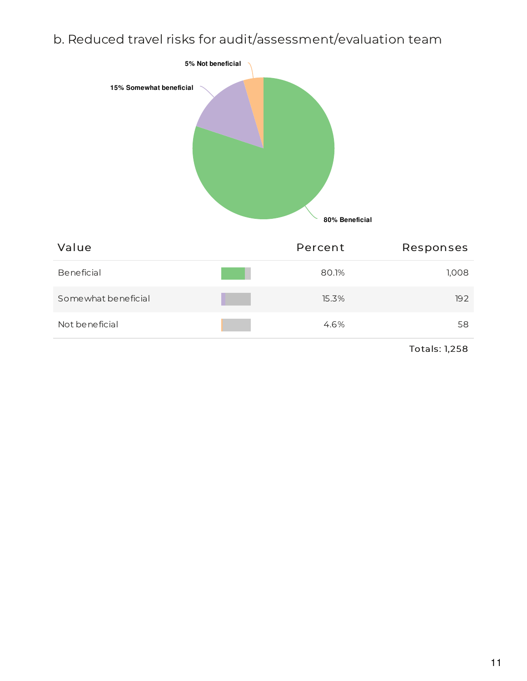# b. Reduced travel risks for audit/assessment/evaluation team

| 15% Somewhat beneficial | 5% Not beneficial<br>80% Beneficial |           |
|-------------------------|-------------------------------------|-----------|
| Value                   | Percent                             | Responses |
| Beneficial              | 80.1%                               | 1,008     |
| Somewhat beneficial     | 15.3%                               | 192       |
| Not beneficial          | 4.6%                                | 58        |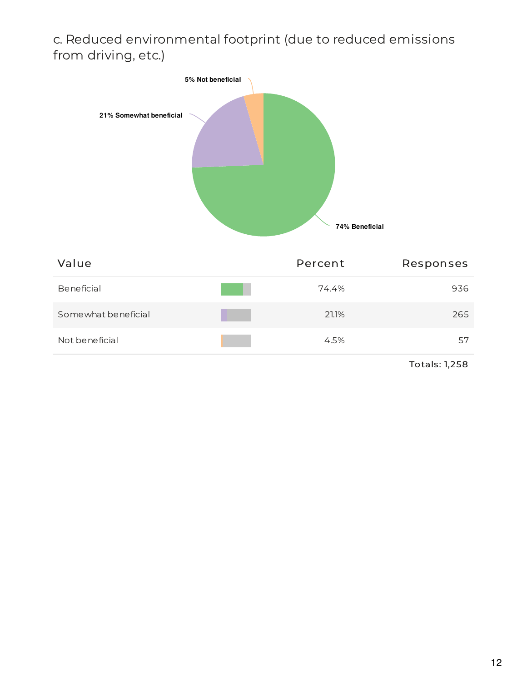## c. Reduced environmental footprint (due to reduced emissions from driving, etc.)



| Value               | Percent | Responses |
|---------------------|---------|-----------|
| Beneficial          | 74.4%   | 936       |
| Somewhat beneficial | 21.1%   | 265       |
| Not be neficial     | 4.5%    | 57        |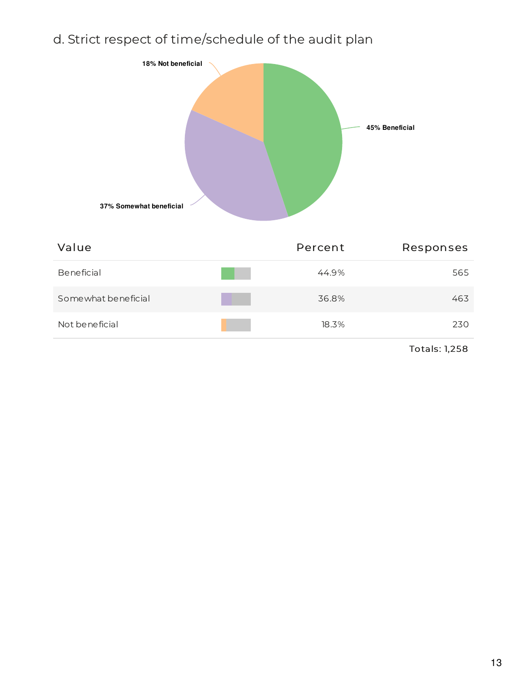# d. Strict respect of time/schedule of the audit plan



| Value               | Percent | Responses |
|---------------------|---------|-----------|
| Beneficial          | 44.9%   | 565       |
| Somewhat beneficial | 36.8%   | 463       |
| Not beneficial      | 18.3%   | 230       |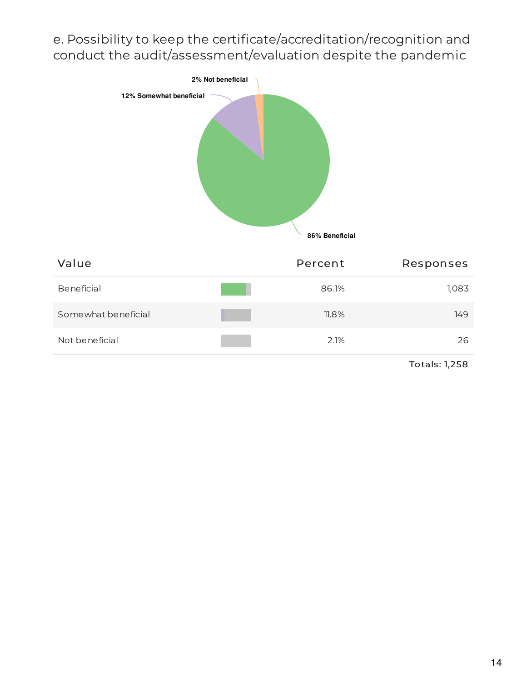e. Possibility to keep the certificate/accreditation/recognition and conduct the audit/assessment/evaluation despite the pandemic



| Value               | Percent  | Responses |
|---------------------|----------|-----------|
| Beneficial          | 86.1%    | 1,083     |
| Somewhat beneficial | $11.8\%$ | 149       |
| Not beneficial      | 2.1%     | 26        |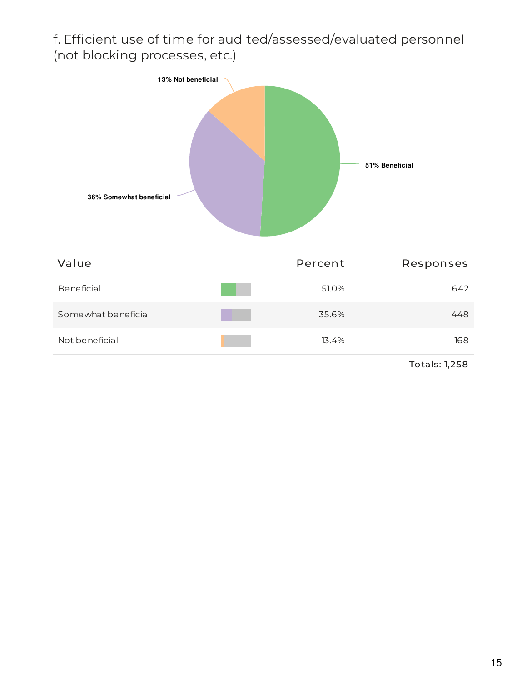# f. Efficient use of time for audited/assessed/evaluated personnel (not blocking processes, etc.)



| Value               | Percent | Responses |
|---------------------|---------|-----------|
| Beneficial          | 51.0%   | 642       |
| Somewhat beneficial | 35.6%   | 448       |
| Not beneficial      | 13.4%   | 168       |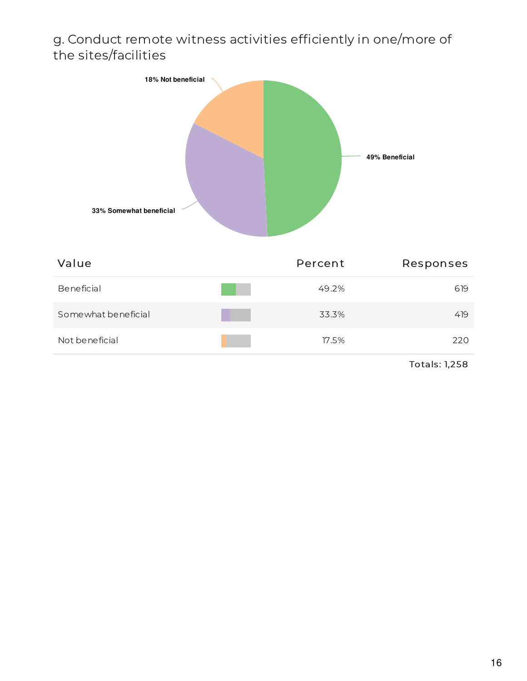#### g. Conduct remote witness activities efficiently in one/more of the sites/facilities



| Value               | Percent | Responses |
|---------------------|---------|-----------|
| Beneficial          | 49.2%   | 619       |
| Somewhat beneficial | 33.3%   | 419       |
| Not beneficial      | 17.5%   | 220       |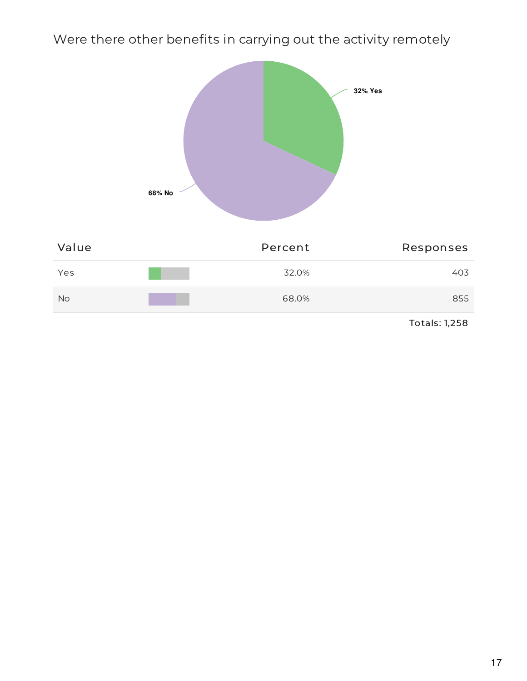Were there other benefits in carrying out the activity remotely

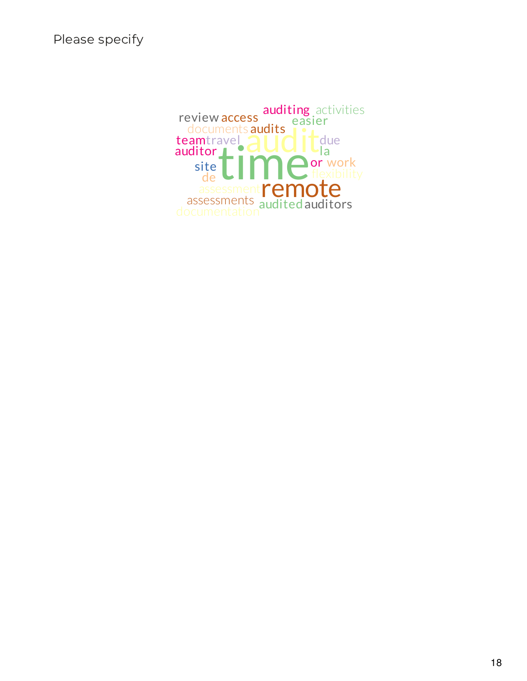Please specify

time; documents audits<br>amtravel audits de Caracter Constants<br>
assessments<br>
audited auditors teamtravel de CIII site easier or work auditor L review access auditing activities due documentation  $L_{\text{la}}$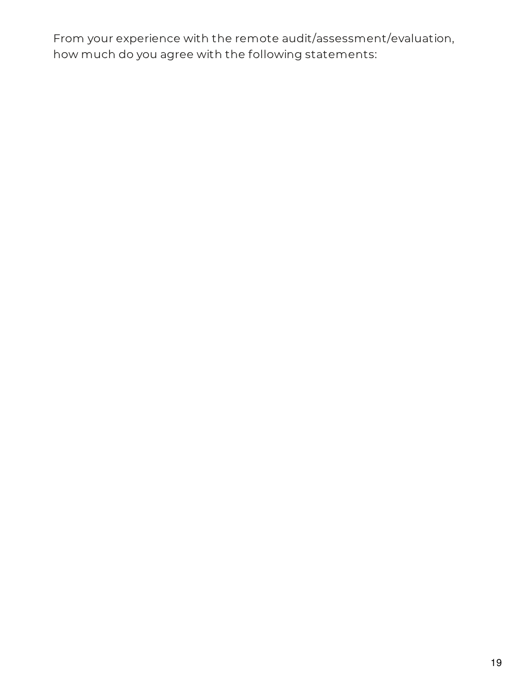From your experience with the remote audit/assessment/evaluation, how much do you agree with the following statements: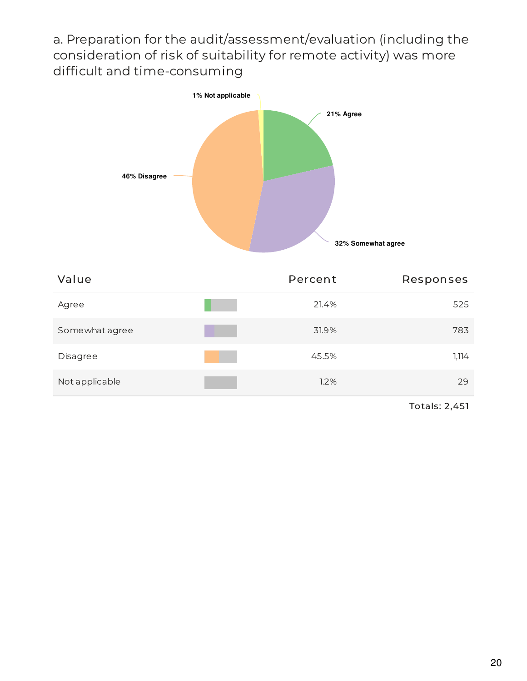a. Preparation for the audit/assessment/evaluation (including the consideration of risk of suitability for remote activity) was more difficult and time-consuming



| Value          | Percent | Responses |
|----------------|---------|-----------|
| Agree          | 21.4%   | 525       |
| Somewhat agree | 31.9%   | 783       |
| Disagree       | 45.5%   | 1,114     |
| Not applicable | 1.2%    | 29        |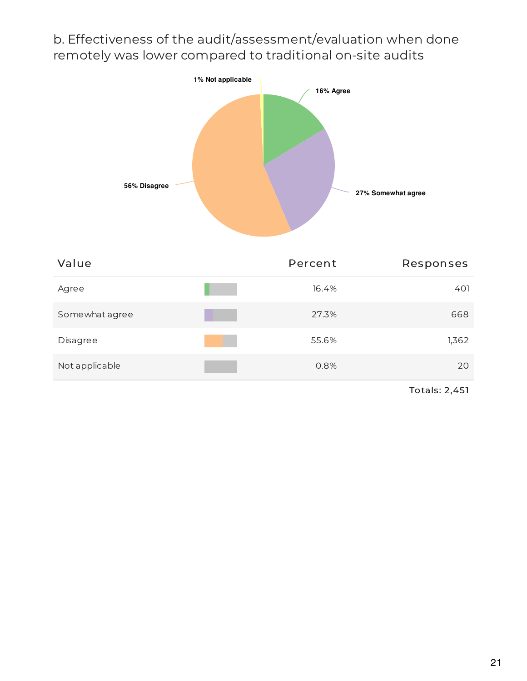#### b. Effectiveness of the audit/assessment/evaluation when done remotely was lower compared to traditional on-site audits



| Value          | Percent | Responses |
|----------------|---------|-----------|
| Agree          | 16.4%   | 401       |
| Somewhat agree | 27.3%   | 668       |
| Disagree       | 55.6%   | 1,362     |
| Not applicable | 0.8%    | 20        |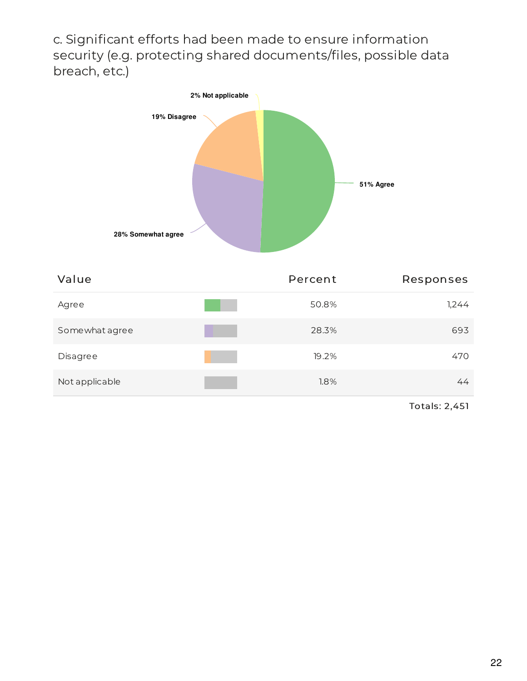c. Significant efforts had been made to ensure information security (e.g. protecting shared documents/files, possible data breach, etc.)



| Value          | Percent | Responses |
|----------------|---------|-----------|
| Agree          | 50.8%   | 1,244     |
| Somewhat agree | 28.3%   | 693       |
| Disagree       | 19.2%   | 470       |
| Not applicable | 1.8%    | 44        |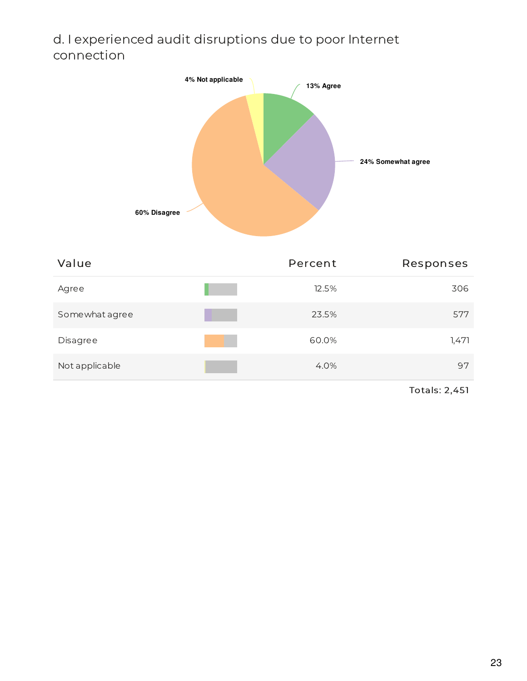## d. I experienced audit disruptions due to poor Internet connection



| Value          | Percent | Responses |
|----------------|---------|-----------|
| Agree          | 12.5%   | 306       |
| Somewhat agree | 23.5%   | 577       |
| Disagree       | 60.0%   | 1,471     |
| Not applicable | 4.0%    | 97        |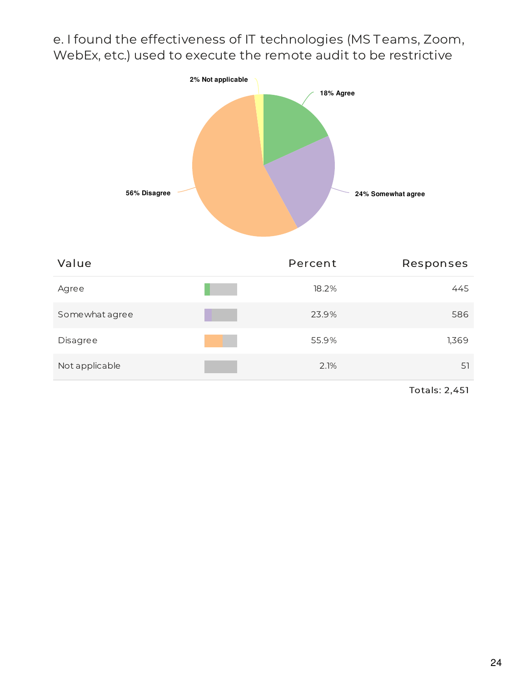e. I found the effectiveness of IT technologies (MS Teams, Zoom, WebEx, etc.) used to execute the remote audit to be restrictive



| Value          | Percent | Responses |
|----------------|---------|-----------|
| Agree          | 18.2%   | 445       |
| Somewhat agree | 23.9%   | 586       |
| Disagree       | 55.9%   | 1,369     |
| Not applicable | 2.1%    | 51        |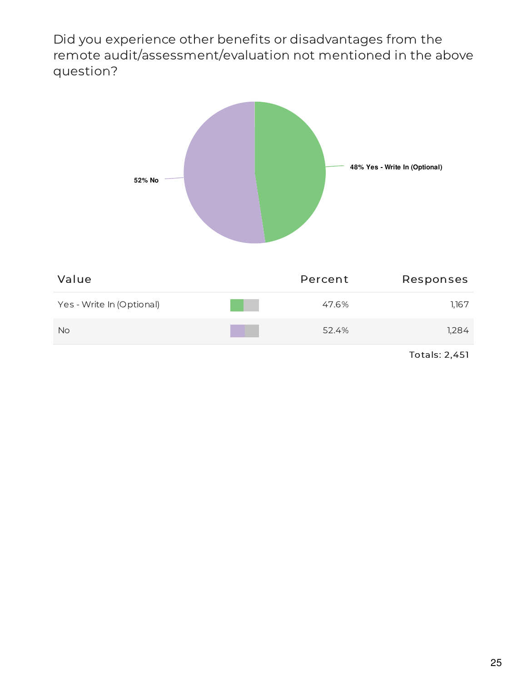Did you experience other benefits or disadvantages from the remote audit/assessment/evaluation not mentioned in the above question?

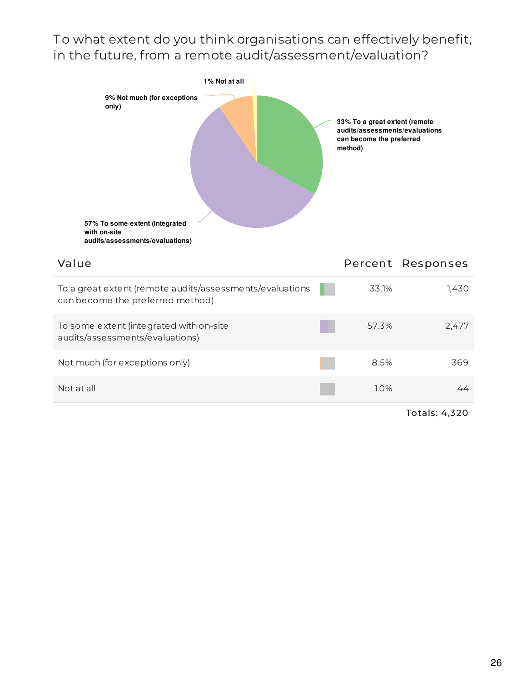#### To what extent do you think organisations can effectively benefit, in the future, from a remote audit/assessment/evaluation?

| 1% Not at all<br>9% Not much (for exceptions<br>only)<br>57% To some extent (integrated<br>with on-site<br>audits/assessments/evaluations) | 33% To a great extent (remote<br>audits/assessments/evaluations<br>can become the preferred<br>method) |                   |
|--------------------------------------------------------------------------------------------------------------------------------------------|--------------------------------------------------------------------------------------------------------|-------------------|
| Value                                                                                                                                      |                                                                                                        | Percent Responses |
| To a great extent (remote audits/assessments/evaluations<br>can become the preferred method)                                               | 33.1%                                                                                                  | 1,430             |
| To some extent (integrated with on-site<br>audits/assessments/evaluations)                                                                 | 57.3%                                                                                                  | 2,477             |
| Not much (for exceptions only)                                                                                                             | 8.5%                                                                                                   | 369               |
| Not at all                                                                                                                                 | 1.0%                                                                                                   | 44                |
|                                                                                                                                            |                                                                                                        |                   |

Totals: 4,320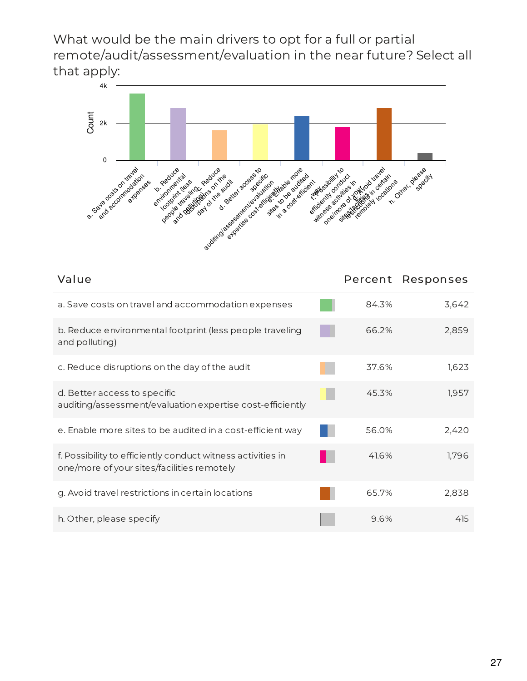What would be the main drivers to opt for a full or partial remote/audit/assessment/evaluation in the near future? Select all that apply:



| Value                                                                                                     |       | Percent Responses |
|-----------------------------------------------------------------------------------------------------------|-------|-------------------|
| a. Save costs on travel and accommodation expenses                                                        | 84.3% | 3,642             |
| b. Reduce environmental footprint (less people traveling<br>and polluting)                                | 66.2% | 2,859             |
| c. Reduce disruptions on the day of the audit                                                             | 37.6% | 1,623             |
| d. Better access to specific<br>auditing/assessment/evaluation expertise cost-efficiently                 | 45.3% | 1,957             |
| e. Enable more sites to be audited in a cost-efficient way                                                | 56.0% | 2,420             |
| f. Possibility to efficiently conduct witness activities in<br>one/more of your sites/facilities remotely | 41.6% | 1,796             |
| g. Avoid travel restrictions in certain locations                                                         | 65.7% | 2,838             |
| h. Other, please specify                                                                                  | 9.6%  | 415               |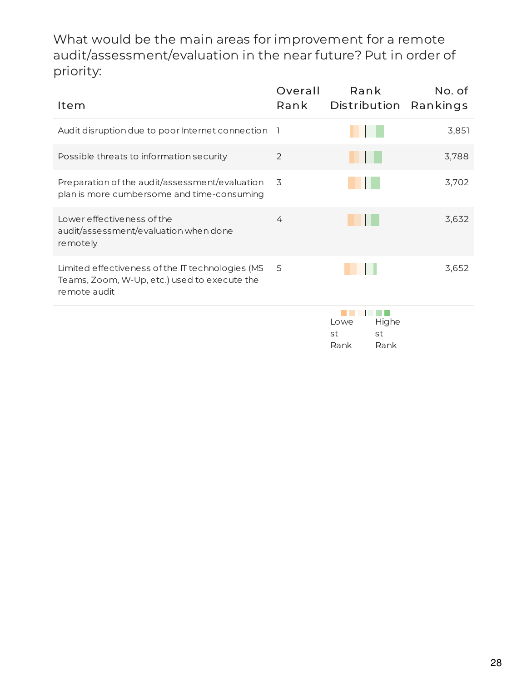What would be the main areas for improvement for a remote audit/assessment/evaluation in the near future? Put in order of priority:

| Item                                                                                                             | Overall<br>Rank | Rank<br>Distribution Rankings | No. of |
|------------------------------------------------------------------------------------------------------------------|-----------------|-------------------------------|--------|
| Audit disruption due to poor Internet connection 1                                                               |                 |                               | 3,851  |
| Possible threats to information security                                                                         | 2               |                               | 3,788  |
| Preparation of the audit/assessment/evaluation<br>plan is more cumbersome and time-consuming                     | 3               |                               | 3,702  |
| Lower effectiveness of the<br>audit/assessment/evaluation when done<br>remotely                                  | 4               |                               | 3,632  |
| Limited effectiveness of the IT technologies (MS<br>Teams, Zoom, W-Up, etc.) used to execute the<br>remote audit | 5               |                               | 3,652  |
|                                                                                                                  |                 | Highe<br>Lowe<br>st<br>st     |        |

Rank

Rank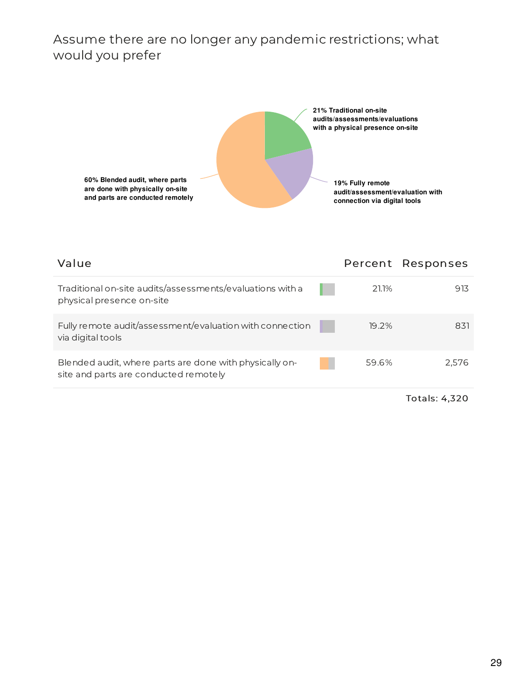#### Assume there are no longer any pandemic restrictions; what would you prefer



| Value                                                                                            |       | Percent Responses |
|--------------------------------------------------------------------------------------------------|-------|-------------------|
| Traditional on-site audits/assessments/evaluations with a<br>physical presence on-site           | 21.1% | 913               |
| Fully remote audit/assessment/evaluation with connection<br>via digital tools                    | 19.2% | 831               |
| Blended audit, where parts are done with physically on-<br>site and parts are conducted remotely | 59.6% | 2.576             |
|                                                                                                  |       |                   |

Totals: 4,320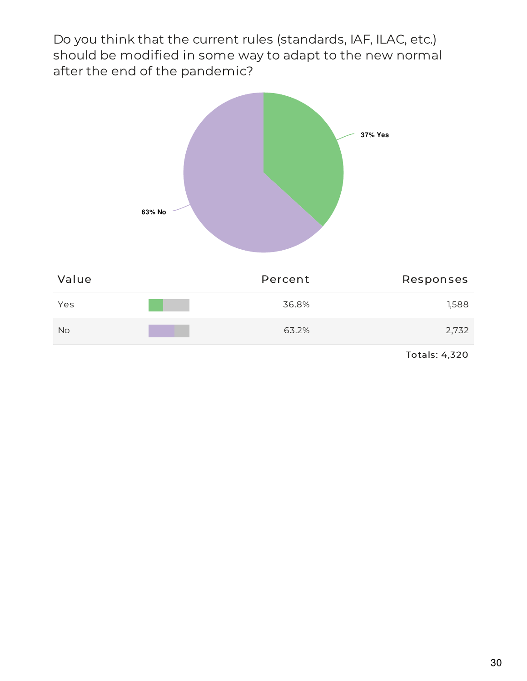Do you think that the current rules (standards, IAF, ILAC, etc.) should be modified in some way to adapt to the new normal after the end of the pandemic?

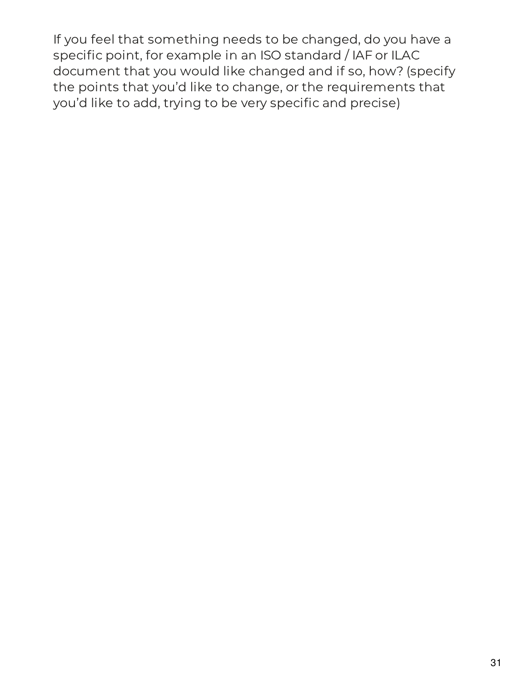If you feel that something needs to be changed, do you have a specific point, for example in an ISO standard / IAF or ILAC document that you would like changed and if so, how? (specify the points that you'd like to change, or the requirements that you'd like to add, trying to be very specific and precise)